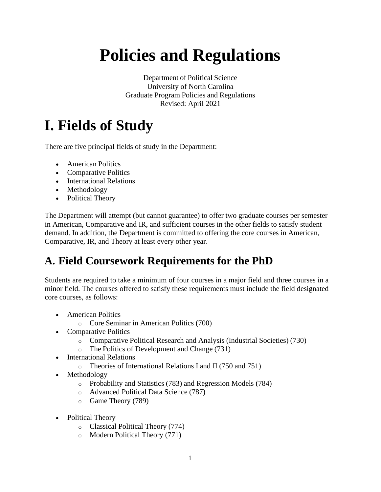# **Policies and Regulations**

Department of Political Science University of North Carolina Graduate Program Policies and Regulations Revised: April 2021

### **I. Fields of Study**

There are five principal fields of study in the Department:

- American Politics
- Comparative Politics
- International Relations
- Methodology
- Political Theory

The Department will attempt (but cannot guarantee) to offer two graduate courses per semester in American, Comparative and IR, and sufficient courses in the other fields to satisfy student demand. In addition, the Department is committed to offering the core courses in American, Comparative, IR, and Theory at least every other year.

#### **A. Field Coursework Requirements for the PhD**

Students are required to take a minimum of four courses in a major field and three courses in a minor field. The courses offered to satisfy these requirements must include the field designated core courses, as follows:

- American Politics
	- o Core Seminar in American Politics (700)
- Comparative Politics
	- o Comparative Political Research and Analysis (Industrial Societies) (730)
	- o The Politics of Development and Change (731)
- International Relations
	- o Theories of International Relations I and II (750 and 751)
- Methodology
	- o Probability and Statistics (783) and Regression Models (784)
	- o Advanced Political Data Science (787)
	- o Game Theory (789)
- Political Theory
	- o Classical Political Theory (774)
	- o Modern Political Theory (771)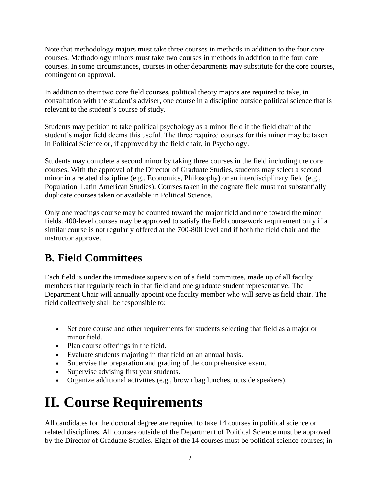Note that methodology majors must take three courses in methods in addition to the four core courses. Methodology minors must take two courses in methods in addition to the four core courses. In some circumstances, courses in other departments may substitute for the core courses, contingent on approval.

In addition to their two core field courses, political theory majors are required to take, in consultation with the student's adviser, one course in a discipline outside political science that is relevant to the student's course of study.

Students may petition to take political psychology as a minor field if the field chair of the student's major field deems this useful. The three required courses for this minor may be taken in Political Science or, if approved by the field chair, in Psychology.

Students may complete a second minor by taking three courses in the field including the core courses. With the approval of the Director of Graduate Studies, students may select a second minor in a related discipline (e.g., Economics, Philosophy) or an interdisciplinary field (e.g., Population, Latin American Studies). Courses taken in the cognate field must not substantially duplicate courses taken or available in Political Science.

Only one readings course may be counted toward the major field and none toward the minor fields. 400-level courses may be approved to satisfy the field coursework requirement only if a similar course is not regularly offered at the 700-800 level and if both the field chair and the instructor approve.

#### **B. Field Committees**

Each field is under the immediate supervision of a field committee, made up of all faculty members that regularly teach in that field and one graduate student representative. The Department Chair will annually appoint one faculty member who will serve as field chair. The field collectively shall be responsible to:

- Set core course and other requirements for students selecting that field as a major or minor field.
- Plan course offerings in the field.
- Evaluate students majoring in that field on an annual basis.
- Supervise the preparation and grading of the comprehensive exam.
- Supervise advising first year students.
- Organize additional activities (e.g., brown bag lunches, outside speakers).

### **II. Course Requirements**

All candidates for the doctoral degree are required to take 14 courses in political science or related disciplines. All courses outside of the Department of Political Science must be approved by the Director of Graduate Studies. Eight of the 14 courses must be political science courses; in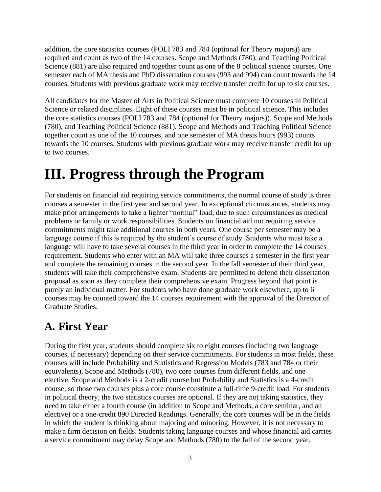addition, the core statistics courses (POLI 783 and 784 (optional for Theory majors)) are required and count as two of the 14 courses. Scope and Methods (780), and Teaching Political Science (881) are also required and together count as one of the 8 political science courses. One semester each of MA thesis and PhD dissertation courses (993 and 994) can count towards the 14 courses. Students with previous graduate work may receive transfer credit for up to six courses.

All candidates for the Master of Arts in Political Science must complete 10 courses in Political Science or related disciplines. Eight of these courses must be in political science. This includes the core statistics courses (POLI 783 and 784 (optional for Theory majors)), Scope and Methods (780), and Teaching Political Science (881). Scope and Methods and Teaching Political Science together count as one of the 10 courses, and one semester of MA thesis hours (993) counts towards the 10 courses. Students with previous graduate work may receive transfer credit for up to two courses.

### **III. Progress through the Program**

For students on financial aid requiring service commitments, the normal course of study is three courses a semester in the first year and second year. In exceptional circumstances, students may make prior arrangements to take a lighter "normal" load, due to such circumstances as medical problems or family or work responsibilities. Students on financial aid not requiring service commitments might take additional courses in both years. One course per semester may be a language course if this is required by the student's course of study. Students who must take a language will have to take several courses in the third year in order to complete the 14 courses requirement. Students who enter with an MA will take three courses a semester in the first year and complete the remaining courses in the second year. In the fall semester of their third year, students will take their comprehensive exam. Students are permitted to defend their dissertation proposal as soon as they complete their comprehensive exam. Progress beyond that point is purely an individual matter. For students who have done graduate work elsewhere, up to 6 courses may be counted toward the 14 courses requirement with the approval of the Director of Graduate Studies.

#### **A. First Year**

During the first year, students should complete six to eight courses (including two language courses, if necessary) depending on their service commitments. For students in most fields, these courses will include Probability and Statistics and Regression Models (783 and 784 or their equivalents), Scope and Methods (780), two core courses from different fields, and one elective. Scope and Methods is a 2-credit course but Probability and Statistics is a 4-credit course, so those two courses plus a core course constitute a full-time 9-credit load. For students in political theory, the two statistics courses are optional. If they are not taking statistics, they need to take either a fourth course (in addition to Scope and Methods, a core seminar, and an elective) or a one-credit 890 Directed Readings. Generally, the core courses will be in the fields in which the student is thinking about majoring and minoring. However, it is not necessary to make a firm decision on fields. Students taking language courses and whose financial aid carries a service commitment may delay Scope and Methods (780) to the fall of the second year.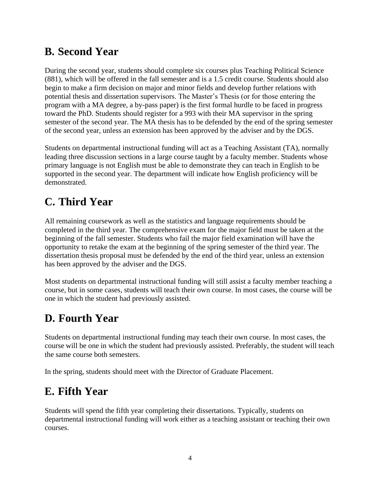#### **B. Second Year**

During the second year, students should complete six courses plus Teaching Political Science (881), which will be offered in the fall semester and is a 1.5 credit course. Students should also begin to make a firm decision on major and minor fields and develop further relations with potential thesis and dissertation supervisors. The Master's Thesis (or for those entering the program with a MA degree, a by-pass paper) is the first formal hurdle to be faced in progress toward the PhD. Students should register for a 993 with their MA supervisor in the spring semester of the second year. The MA thesis has to be defended by the end of the spring semester of the second year, unless an extension has been approved by the adviser and by the DGS.

Students on departmental instructional funding will act as a Teaching Assistant (TA), normally leading three discussion sections in a large course taught by a faculty member. Students whose primary language is not English must be able to demonstrate they can teach in English to be supported in the second year. The department will indicate how English proficiency will be demonstrated.

### **C. Third Year**

All remaining coursework as well as the statistics and language requirements should be completed in the third year. The comprehensive exam for the major field must be taken at the beginning of the fall semester. Students who fail the major field examination will have the opportunity to retake the exam at the beginning of the spring semester of the third year. The dissertation thesis proposal must be defended by the end of the third year, unless an extension has been approved by the adviser and the DGS.

Most students on departmental instructional funding will still assist a faculty member teaching a course, but in some cases, students will teach their own course. In most cases, the course will be one in which the student had previously assisted.

#### **D. Fourth Year**

Students on departmental instructional funding may teach their own course. In most cases, the course will be one in which the student had previously assisted. Preferably, the student will teach the same course both semesters.

In the spring, students should meet with the Director of Graduate Placement.

#### **E. Fifth Year**

Students will spend the fifth year completing their dissertations. Typically, students on departmental instructional funding will work either as a teaching assistant or teaching their own courses.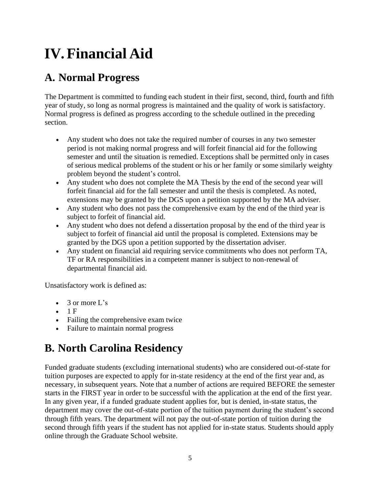## **IV.Financial Aid**

#### **A. Normal Progress**

The Department is committed to funding each student in their first, second, third, fourth and fifth year of study, so long as normal progress is maintained and the quality of work is satisfactory. Normal progress is defined as progress according to the schedule outlined in the preceding section.

- Any student who does not take the required number of courses in any two semester period is not making normal progress and will forfeit financial aid for the following semester and until the situation is remedied. Exceptions shall be permitted only in cases of serious medical problems of the student or his or her family or some similarly weighty problem beyond the student's control.
- Any student who does not complete the MA Thesis by the end of the second year will forfeit financial aid for the fall semester and until the thesis is completed. As noted, extensions may be granted by the DGS upon a petition supported by the MA adviser.
- Any student who does not pass the comprehensive exam by the end of the third year is subject to forfeit of financial aid.
- Any student who does not defend a dissertation proposal by the end of the third year is subject to forfeit of financial aid until the proposal is completed. Extensions may be granted by the DGS upon a petition supported by the dissertation adviser.
- Any student on financial aid requiring service commitments who does not perform TA, TF or RA responsibilities in a competent manner is subject to non-renewal of departmental financial aid.

Unsatisfactory work is defined as:

- $\bullet$  3 or more L's
- $-1 F$
- Failing the comprehensive exam twice
- Failure to maintain normal progress

#### **B. North Carolina Residency**

Funded graduate students (excluding international students) who are considered out-of-state for tuition purposes are expected to apply for in-state residency at the end of the first year and, as necessary, in subsequent years. Note that a number of actions are required BEFORE the semester starts in the FIRST year in order to be successful with the application at the end of the first year. In any given year, if a funded graduate student applies for, but is denied, in-state status, the department may cover the out-of-state portion of the tuition payment during the student's second through fifth years. The department will not pay the out-of-state portion of tuition during the second through fifth years if the student has not applied for in-state status. Students should apply online through the Graduate School website.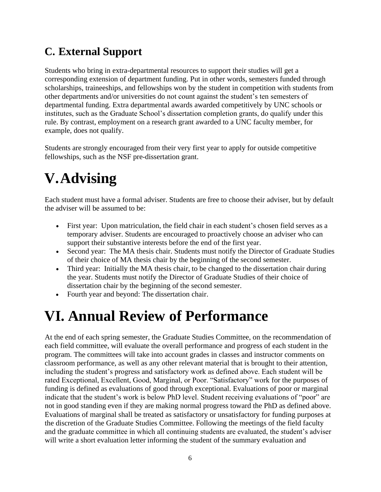#### **C. External Support**

Students who bring in extra-departmental resources to support their studies will get a corresponding extension of department funding. Put in other words, semesters funded through scholarships, traineeships, and fellowships won by the student in competition with students from other departments and/or universities do not count against the student's ten semesters of departmental funding. Extra departmental awards awarded competitively by UNC schools or institutes, such as the Graduate School's dissertation completion grants, do qualify under this rule. By contrast, employment on a research grant awarded to a UNC faculty member, for example, does not qualify.

Students are strongly encouraged from their very first year to apply for outside competitive fellowships, such as the NSF pre-dissertation grant.

### **V.Advising**

Each student must have a formal adviser. Students are free to choose their adviser, but by default the adviser will be assumed to be:

- First year: Upon matriculation, the field chair in each student's chosen field serves as a temporary adviser. Students are encouraged to proactively choose an adviser who can support their substantive interests before the end of the first year.
- Second year: The MA thesis chair. Students must notify the Director of Graduate Studies of their choice of MA thesis chair by the beginning of the second semester.
- Third year: Initially the MA thesis chair, to be changed to the dissertation chair during the year. Students must notify the Director of Graduate Studies of their choice of dissertation chair by the beginning of the second semester.
- Fourth year and beyond: The dissertation chair.

### **VI. Annual Review of Performance**

At the end of each spring semester, the Graduate Studies Committee, on the recommendation of each field committee, will evaluate the overall performance and progress of each student in the program. The committees will take into account grades in classes and instructor comments on classroom performance, as well as any other relevant material that is brought to their attention, including the student's progress and satisfactory work as defined above. Each student will be rated Exceptional, Excellent, Good, Marginal, or Poor. "Satisfactory" work for the purposes of funding is defined as evaluations of good through exceptional. Evaluations of poor or marginal indicate that the student's work is below PhD level. Student receiving evaluations of "poor" are not in good standing even if they are making normal progress toward the PhD as defined above. Evaluations of marginal shall be treated as satisfactory or unsatisfactory for funding purposes at the discretion of the Graduate Studies Committee. Following the meetings of the field faculty and the graduate committee in which all continuing students are evaluated, the student's adviser will write a short evaluation letter informing the student of the summary evaluation and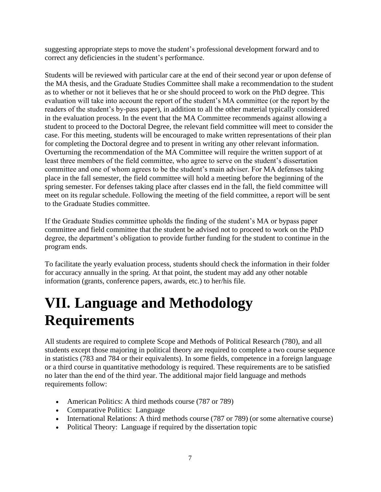suggesting appropriate steps to move the student's professional development forward and to correct any deficiencies in the student's performance.

Students will be reviewed with particular care at the end of their second year or upon defense of the MA thesis, and the Graduate Studies Committee shall make a recommendation to the student as to whether or not it believes that he or she should proceed to work on the PhD degree. This evaluation will take into account the report of the student's MA committee (or the report by the readers of the student's by-pass paper), in addition to all the other material typically considered in the evaluation process. In the event that the MA Committee recommends against allowing a student to proceed to the Doctoral Degree, the relevant field committee will meet to consider the case. For this meeting, students will be encouraged to make written representations of their plan for completing the Doctoral degree and to present in writing any other relevant information. Overturning the recommendation of the MA Committee will require the written support of at least three members of the field committee, who agree to serve on the student's dissertation committee and one of whom agrees to be the student's main adviser. For MA defenses taking place in the fall semester, the field committee will hold a meeting before the beginning of the spring semester. For defenses taking place after classes end in the fall, the field committee will meet on its regular schedule. Following the meeting of the field committee, a report will be sent to the Graduate Studies committee.

If the Graduate Studies committee upholds the finding of the student's MA or bypass paper committee and field committee that the student be advised not to proceed to work on the PhD degree, the department's obligation to provide further funding for the student to continue in the program ends.

To facilitate the yearly evaluation process, students should check the information in their folder for accuracy annually in the spring. At that point, the student may add any other notable information (grants, conference papers, awards, etc.) to her/his file.

### **VII. Language and Methodology Requirements**

All students are required to complete Scope and Methods of Political Research (780), and all students except those majoring in political theory are required to complete a two course sequence in statistics (783 and 784 or their equivalents). In some fields, competence in a foreign language or a third course in quantitative methodology is required. These requirements are to be satisfied no later than the end of the third year. The additional major field language and methods requirements follow:

- American Politics: A third methods course (787 or 789)
- Comparative Politics: Language
- International Relations: A third methods course (787 or 789) (or some alternative course)
- Political Theory: Language if required by the dissertation topic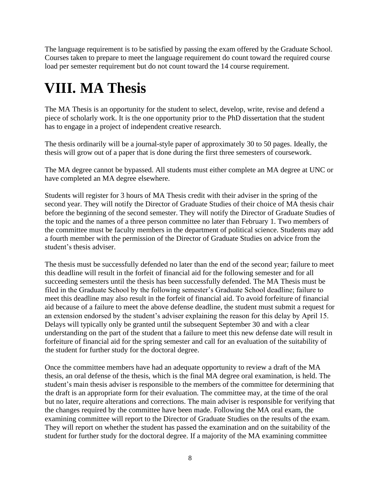The language requirement is to be satisfied by passing the exam offered by the Graduate School. Courses taken to prepare to meet the language requirement do count toward the required course load per semester requirement but do not count toward the 14 course requirement.

### **VIII. MA Thesis**

The MA Thesis is an opportunity for the student to select, develop, write, revise and defend a piece of scholarly work. It is the one opportunity prior to the PhD dissertation that the student has to engage in a project of independent creative research.

The thesis ordinarily will be a journal-style paper of approximately 30 to 50 pages. Ideally, the thesis will grow out of a paper that is done during the first three semesters of coursework.

The MA degree cannot be bypassed. All students must either complete an MA degree at UNC or have completed an MA degree elsewhere.

Students will register for 3 hours of MA Thesis credit with their adviser in the spring of the second year. They will notify the Director of Graduate Studies of their choice of MA thesis chair before the beginning of the second semester. They will notify the Director of Graduate Studies of the topic and the names of a three person committee no later than February 1. Two members of the committee must be faculty members in the department of political science. Students may add a fourth member with the permission of the Director of Graduate Studies on advice from the student's thesis adviser.

The thesis must be successfully defended no later than the end of the second year; failure to meet this deadline will result in the forfeit of financial aid for the following semester and for all succeeding semesters until the thesis has been successfully defended. The MA Thesis must be filed in the Graduate School by the following semester's Graduate School deadline; failure to meet this deadline may also result in the forfeit of financial aid. To avoid forfeiture of financial aid because of a failure to meet the above defense deadline, the student must submit a request for an extension endorsed by the student's adviser explaining the reason for this delay by April 15. Delays will typically only be granted until the subsequent September 30 and with a clear understanding on the part of the student that a failure to meet this new defense date will result in forfeiture of financial aid for the spring semester and call for an evaluation of the suitability of the student for further study for the doctoral degree.

Once the committee members have had an adequate opportunity to review a draft of the MA thesis, an oral defense of the thesis, which is the final MA degree oral examination, is held. The student's main thesis adviser is responsible to the members of the committee for determining that the draft is an appropriate form for their evaluation. The committee may, at the time of the oral but no later, require alterations and corrections. The main adviser is responsible for verifying that the changes required by the committee have been made. Following the MA oral exam, the examining committee will report to the Director of Graduate Studies on the results of the exam. They will report on whether the student has passed the examination and on the suitability of the student for further study for the doctoral degree. If a majority of the MA examining committee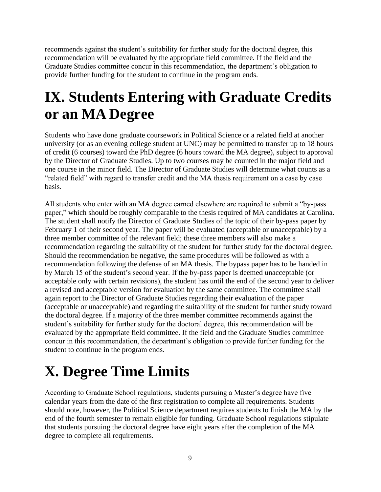recommends against the student's suitability for further study for the doctoral degree, this recommendation will be evaluated by the appropriate field committee. If the field and the Graduate Studies committee concur in this recommendation, the department's obligation to provide further funding for the student to continue in the program ends.

### **IX. Students Entering with Graduate Credits or an MA Degree**

Students who have done graduate coursework in Political Science or a related field at another university (or as an evening college student at UNC) may be permitted to transfer up to 18 hours of credit (6 courses) toward the PhD degree (6 hours toward the MA degree), subject to approval by the Director of Graduate Studies. Up to two courses may be counted in the major field and one course in the minor field. The Director of Graduate Studies will determine what counts as a "related field" with regard to transfer credit and the MA thesis requirement on a case by case basis.

All students who enter with an MA degree earned elsewhere are required to submit a "by-pass paper," which should be roughly comparable to the thesis required of MA candidates at Carolina. The student shall notify the Director of Graduate Studies of the topic of their by-pass paper by February 1 of their second year. The paper will be evaluated (acceptable or unacceptable) by a three member committee of the relevant field; these three members will also make a recommendation regarding the suitability of the student for further study for the doctoral degree. Should the recommendation be negative, the same procedures will be followed as with a recommendation following the defense of an MA thesis. The bypass paper has to be handed in by March 15 of the student's second year. If the by-pass paper is deemed unacceptable (or acceptable only with certain revisions), the student has until the end of the second year to deliver a revised and acceptable version for evaluation by the same committee. The committee shall again report to the Director of Graduate Studies regarding their evaluation of the paper (acceptable or unacceptable) and regarding the suitability of the student for further study toward the doctoral degree. If a majority of the three member committee recommends against the student's suitability for further study for the doctoral degree, this recommendation will be evaluated by the appropriate field committee. If the field and the Graduate Studies committee concur in this recommendation, the department's obligation to provide further funding for the student to continue in the program ends.

### **X. Degree Time Limits**

According to Graduate School regulations, students pursuing a Master's degree have five calendar years from the date of the first registration to complete all requirements. Students should note, however, the Political Science department requires students to finish the MA by the end of the fourth semester to remain eligible for funding. Graduate School regulations stipulate that students pursuing the doctoral degree have eight years after the completion of the MA degree to complete all requirements.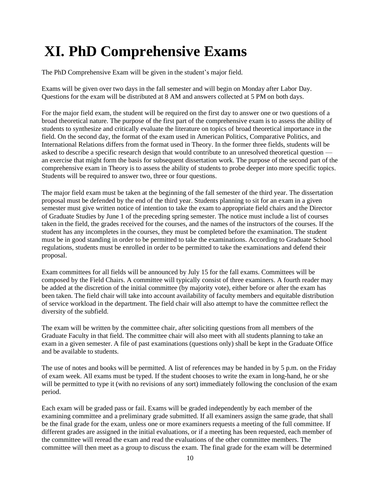### **XI. PhD Comprehensive Exams**

The PhD Comprehensive Exam will be given in the student's major field.

Exams will be given over two days in the fall semester and will begin on Monday after Labor Day. Questions for the exam will be distributed at 8 AM and answers collected at 5 PM on both days.

For the major field exam, the student will be required on the first day to answer one or two questions of a broad theoretical nature. The purpose of the first part of the comprehensive exam is to assess the ability of students to synthesize and critically evaluate the literature on topics of broad theoretical importance in the field. On the second day, the format of the exam used in American Politics, Comparative Politics, and International Relations differs from the format used in Theory. In the former three fields, students will be asked to describe a specific research design that would contribute to an unresolved theoretical question an exercise that might form the basis for subsequent dissertation work. The purpose of the second part of the comprehensive exam in Theory is to assess the ability of students to probe deeper into more specific topics. Students will be required to answer two, three or four questions.

The major field exam must be taken at the beginning of the fall semester of the third year. The dissertation proposal must be defended by the end of the third year. Students planning to sit for an exam in a given semester must give written notice of intention to take the exam to appropriate field chairs and the Director of Graduate Studies by June 1 of the preceding spring semester. The notice must include a list of courses taken in the field, the grades received for the courses, and the names of the instructors of the courses. If the student has any incompletes in the courses, they must be completed before the examination. The student must be in good standing in order to be permitted to take the examinations. According to Graduate School regulations, students must be enrolled in order to be permitted to take the examinations and defend their proposal.

Exam committees for all fields will be announced by July 15 for the fall exams. Committees will be composed by the Field Chairs. A committee will typically consist of three examiners. A fourth reader may be added at the discretion of the initial committee (by majority vote), either before or after the exam has been taken. The field chair will take into account availability of faculty members and equitable distribution of service workload in the department. The field chair will also attempt to have the committee reflect the diversity of the subfield.

The exam will be written by the committee chair, after soliciting questions from all members of the Graduate Faculty in that field. The committee chair will also meet with all students planning to take an exam in a given semester. A file of past examinations (questions only) shall be kept in the Graduate Office and be available to students.

The use of notes and books will be permitted. A list of references may be handed in by 5 p.m. on the Friday of exam week. All exams must be typed. If the student chooses to write the exam in long-hand, he or she will be permitted to type it (with no revisions of any sort) immediately following the conclusion of the exam period.

Each exam will be graded pass or fail. Exams will be graded independently by each member of the examining committee and a preliminary grade submitted. If all examiners assign the same grade, that shall be the final grade for the exam, unless one or more examiners requests a meeting of the full committee. If different grades are assigned in the initial evaluations, or if a meeting has been requested, each member of the committee will reread the exam and read the evaluations of the other committee members. The committee will then meet as a group to discuss the exam. The final grade for the exam will be determined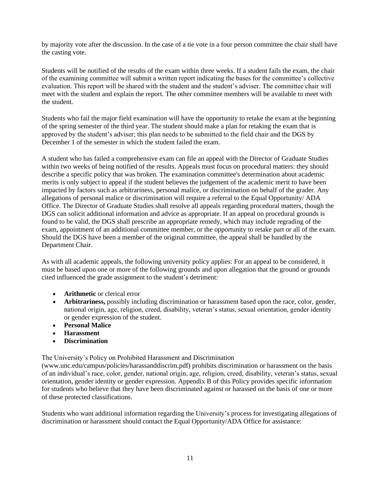by majority vote after the discussion. In the case of a tie vote in a four person committee the chair shall have the casting vote.

Students will be notified of the results of the exam within three weeks. If a student fails the exam, the chair of the examining committee will submit a written report indicating the bases for the committee's collective evaluation. This report will be shared with the student and the student's adviser. The committee chair will meet with the student and explain the report. The other committee members will be available to meet with the student.

Students who fail the major field examination will have the opportunity to retake the exam at the beginning of the spring semester of the third year. The student should make a plan for retaking the exam that is approved by the student's adviser; this plan needs to be submitted to the field chair and the DGS by December 1 of the semester in which the student failed the exam.

A student who has failed a comprehensive exam can file an appeal with the Director of Graduate Studies within two weeks of being notified of the results. Appeals must focus on procedural matters: they should describe a specific policy that was broken. The examination committee's determination about academic merits is only subject to appeal if the student believes the judgement of the academic merit to have been impacted by factors such as arbitrariness, personal malice, or discrimination on behalf of the grader. Any allegations of personal malice or discrimination will require a referral to the Equal Opportunity/ ADA Office. The Director of Graduate Studies shall resolve all appeals regarding procedural matters, though the DGS can solicit additional information and advice as appropriate. If an appeal on procedural grounds is found to be valid, the DGS shall prescribe an appropriate remedy, which may include regrading of the exam, appointment of an additional committee member, or the opportunity to retake part or all of the exam. Should the DGS have been a member of the original committee, the appeal shall be handled by the Department Chair.

As with all academic appeals, the following university policy applies: For an appeal to be considered, it must be based upon one or more of the following grounds and upon allegation that the ground or grounds cited influenced the grade assignment to the student's detriment:

- **Arithmetic** or clerical error
- **Arbitrariness,** possibly including discrimination or harassment based upon the race, color, gender, national origin, age, religion, creed, disability, veteran's status, sexual orientation, gender identity or gender expression of the student.
- **Personal Malice**
- **Harassment**
- **Discrimination**

The University's Policy on Prohibited Harassment and Discrimination

[\(www.unc.edu/campus/policies/harassanddiscrim.pdf\) p](http://www.unc.edu/campus/policies/harassanddiscrim.pdf))rohibits discrimination or harassment on the basis of an individual's race, color, gender, national origin, age, religion, creed, disability, veteran's status, sexual orientation, gender identity or gender expression. Appendix B of this Policy provides specific information for students who believe that they have been discriminated against or harassed on the basis of one or more of these protected classifications.

Students who want additional information regarding the University's process for investigating allegations of discrimination or harassment should contact the Equal Opportunity/ADA Office for assistance: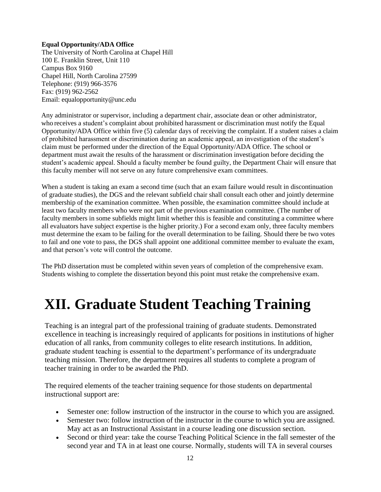#### **Equal Opportunity/ADA Office**

The University of North Carolina at Chapel Hill 100 E. Franklin Street, Unit 110 Campus Box 9160 Chapel Hill, North Carolina 27599 Telephone: (919) 966-3576 Fax: (919) 962-2562 Email: [equalopportunity@unc.edu](mailto:equalopportunity@unc.edu)

Any administrator or supervisor, including a department chair, associate dean or other administrator, who receives a student's complaint about prohibited harassment or discrimination must notify the Equal Opportunity/ADA Office within five (5) calendar days of receiving the complaint. If a student raises a claim of prohibited harassment or discrimination during an academic appeal, an investigation of the student's claim must be performed under the direction of the Equal Opportunity/ADA Office. The school or department must await the results of the harassment or discrimination investigation before deciding the student's academic appeal. Should a faculty member be found guilty, the Department Chair will ensure that this faculty member will not serve on any future comprehensive exam committees.

When a student is taking an exam a second time (such that an exam failure would result in discontinuation of graduate studies), the DGS and the relevant subfield chair shall consult each other and jointly determine membership of the examination committee. When possible, the examination committee should include at least two faculty members who were not part of the previous examination committee. (The number of faculty members in some subfields might limit whether this is feasible and constituting a committee where all evaluators have subject expertise is the higher priority.) For a second exam only, three faculty members must determine the exam to be failing for the overall determination to be failing. Should there be two votes to fail and one vote to pass, the DGS shall appoint one additional committee member to evaluate the exam, and that person's vote will control the outcome.

The PhD dissertation must be completed within seven years of completion of the comprehensive exam. Students wishing to complete the dissertation beyond this point must retake the comprehensive exam.

### **XII. Graduate Student Teaching Training**

Teaching is an integral part of the professional training of graduate students. Demonstrated excellence in teaching is increasingly required of applicants for positions in institutions of higher education of all ranks, from community colleges to elite research institutions. In addition, graduate student teaching is essential to the department's performance of its undergraduate teaching mission. Therefore, the department requires all students to complete a program of teacher training in order to be awarded the PhD.

The required elements of the teacher training sequence for those students on departmental instructional support are:

- Semester one: follow instruction of the instructor in the course to which you are assigned.
- Semester two: follow instruction of the instructor in the course to which you are assigned. May act as an Instructional Assistant in a course leading one discussion section.
- Second or third year: take the course Teaching Political Science in the fall semester of the second year and TA in at least one course. Normally, students will TA in several courses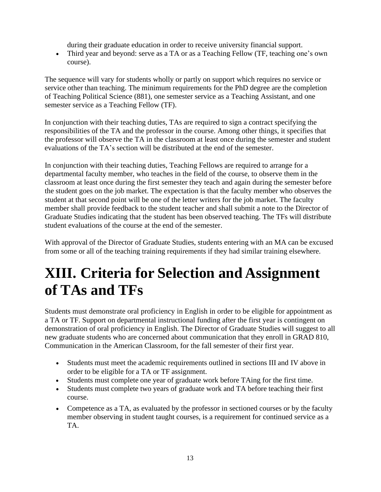during their graduate education in order to receive university financial support.

• Third year and beyond: serve as a TA or as a Teaching Fellow (TF, teaching one's own course).

The sequence will vary for students wholly or partly on support which requires no service or service other than teaching. The minimum requirements for the PhD degree are the completion of Teaching Political Science (881), one semester service as a Teaching Assistant, and one semester service as a Teaching Fellow (TF).

In conjunction with their teaching duties, TAs are required to sign a contract specifying the responsibilities of the TA and the professor in the course. Among other things, it specifies that the professor will observe the TA in the classroom at least once during the semester and student evaluations of the TA's section will be distributed at the end of the semester.

In conjunction with their teaching duties, Teaching Fellows are required to arrange for a departmental faculty member, who teaches in the field of the course, to observe them in the classroom at least once during the first semester they teach and again during the semester before the student goes on the job market. The expectation is that the faculty member who observes the student at that second point will be one of the letter writers for the job market. The faculty member shall provide feedback to the student teacher and shall submit a note to the Director of Graduate Studies indicating that the student has been observed teaching. The TFs will distribute student evaluations of the course at the end of the semester.

With approval of the Director of Graduate Studies, students entering with an MA can be excused from some or all of the teaching training requirements if they had similar training elsewhere.

### **XIII. Criteria for Selection and Assignment of TAs and TFs**

Students must demonstrate oral proficiency in English in order to be eligible for appointment as a TA or TF. Support on departmental instructional funding after the first year is contingent on demonstration of oral proficiency in English. The Director of Graduate Studies will suggest to all new graduate students who are concerned about communication that they enroll in GRAD 810, Communication in the American Classroom, for the fall semester of their first year.

- Students must meet the academic requirements outlined in sections III and IV above in order to be eligible for a TA or TF assignment.
- Students must complete one year of graduate work before TAing for the first time.
- Students must complete two years of graduate work and TA before teaching their first course.
- Competence as a TA, as evaluated by the professor in sectioned courses or by the faculty member observing in student taught courses, is a requirement for continued service as a TA.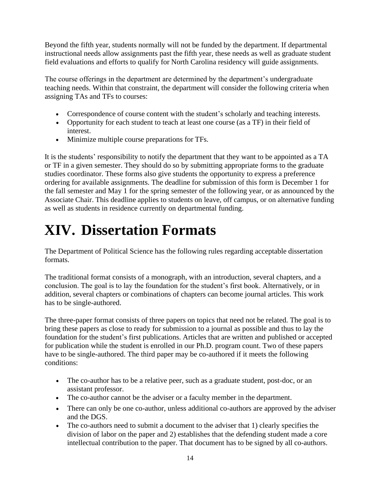Beyond the fifth year, students normally will not be funded by the department. If departmental instructional needs allow assignments past the fifth year, these needs as well as graduate student field evaluations and efforts to qualify for North Carolina residency will guide assignments.

The course offerings in the department are determined by the department's undergraduate teaching needs. Within that constraint, the department will consider the following criteria when assigning TAs and TFs to courses:

- Correspondence of course content with the student's scholarly and teaching interests.
- Opportunity for each student to teach at least one course (as a TF) in their field of interest.
- Minimize multiple course preparations for TFs.

It is the students' responsibility to notify the department that they want to be appointed as a TA or TF in a given semester. They should do so by submitting appropriate forms to the graduate studies coordinator. These forms also give students the opportunity to express a preference ordering for available assignments. The deadline for submission of this form is December 1 for the fall semester and May 1 for the spring semester of the following year, or as announced by the Associate Chair. This deadline applies to students on leave, off campus, or on alternative funding as well as students in residence currently on departmental funding.

### **XIV. Dissertation Formats**

The Department of Political Science has the following rules regarding acceptable dissertation formats.

The traditional format consists of a monograph, with an introduction, several chapters, and a conclusion. The goal is to lay the foundation for the student's first book. Alternatively, or in addition, several chapters or combinations of chapters can become journal articles. This work has to be single-authored.

The three-paper format consists of three papers on topics that need not be related. The goal is to bring these papers as close to ready for submission to a journal as possible and thus to lay the foundation for the student's first publications. Articles that are written and published or accepted for publication while the student is enrolled in our Ph.D. program count. Two of these papers have to be single-authored. The third paper may be co-authored if it meets the following conditions:

- The co-author has to be a relative peer, such as a graduate student, post-doc, or an assistant professor.
- The co-author cannot be the adviser or a faculty member in the department.
- There can only be one co-author, unless additional co-authors are approved by the adviser and the DGS.
- The co-authors need to submit a document to the adviser that 1) clearly specifies the division of labor on the paper and 2) establishes that the defending student made a core intellectual contribution to the paper. That document has to be signed by all co-authors.